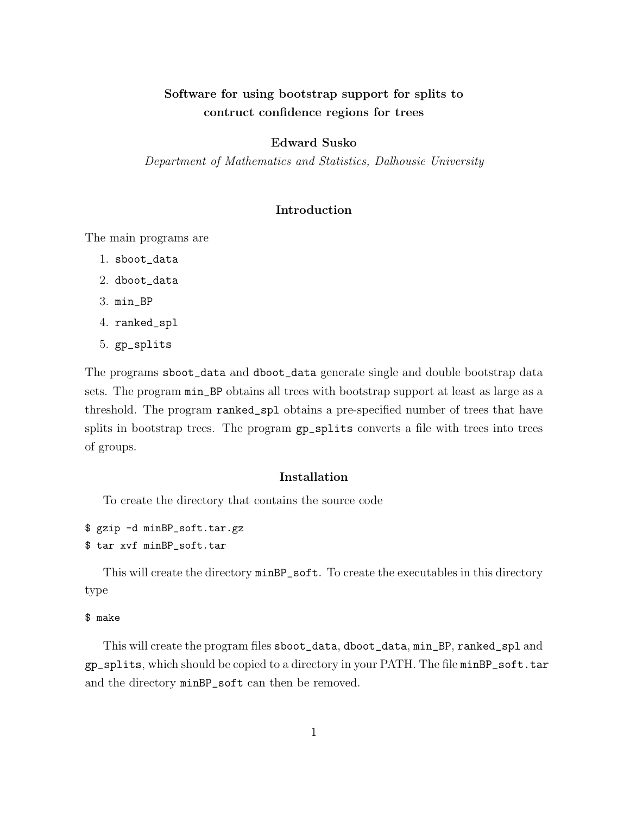# Software for using bootstrap support for splits to contruct confidence regions for trees

# Edward Susko

Department of Mathematics and Statistics, Dalhousie University

# Introduction

The main programs are

- 1. sboot\_data
- 2. dboot\_data
- 3. min\_BP
- 4. ranked\_spl
- 5. gp\_splits

The programs sboot\_data and dboot\_data generate single and double bootstrap data sets. The program min\_BP obtains all trees with bootstrap support at least as large as a threshold. The program ranked\_spl obtains a pre-specified number of trees that have splits in bootstrap trees. The program  $gp$ -splits converts a file with trees into trees of groups.

# Installation

To create the directory that contains the source code

```
$ gzip -d minBP_soft.tar.gz
$ tar xvf minBP_soft.tar
```
This will create the directory minBP\_soft. To create the executables in this directory type

#### \$ make

This will create the program files sboot\_data, dboot\_data, min\_BP, ranked\_spl and gp\_splits, which should be copied to a directory in your PATH. The file minBP\_soft.tar and the directory minBP\_soft can then be removed.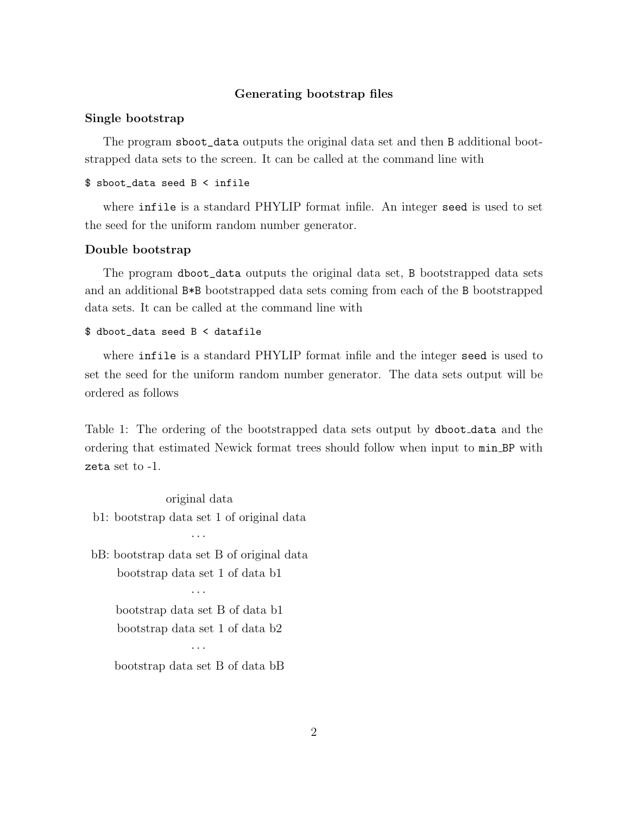## Generating bootstrap files

## Single bootstrap

The program sboot\_data outputs the original data set and then B additional bootstrapped data sets to the screen. It can be called at the command line with

#### \$ sboot\_data seed B < infile

where infile is a standard PHYLIP format infile. An integer seed is used to set the seed for the uniform random number generator.

#### Double bootstrap

The program dboot\_data outputs the original data set, B bootstrapped data sets and an additional B\*B bootstrapped data sets coming from each of the B bootstrapped data sets. It can be called at the command line with

#### \$ dboot\_data seed B < datafile

where infile is a standard PHYLIP format infile and the integer seed is used to set the seed for the uniform random number generator. The data sets output will be ordered as follows

Table 1: The ordering of the bootstrapped data sets output by dboot data and the ordering that estimated Newick format trees should follow when input to min BP with zeta set to -1.

original data b1: bootstrap data set 1 of original data

bB: bootstrap data set B of original data bootstrap data set 1 of data b1

· · ·

· · ·

bootstrap data set B of data b1 bootstrap data set 1 of data b2 · · ·

bootstrap data set B of data bB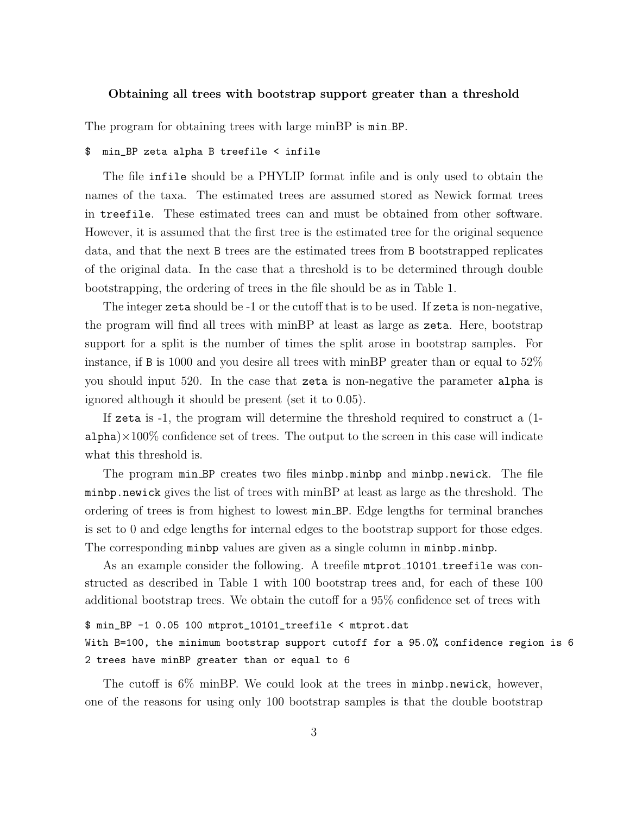#### Obtaining all trees with bootstrap support greater than a threshold

The program for obtaining trees with large minBP is  $min\_BP$ .

#### \$ min\_BP zeta alpha B treefile < infile

The file infile should be a PHYLIP format infile and is only used to obtain the names of the taxa. The estimated trees are assumed stored as Newick format trees in treefile. These estimated trees can and must be obtained from other software. However, it is assumed that the first tree is the estimated tree for the original sequence data, and that the next B trees are the estimated trees from B bootstrapped replicates of the original data. In the case that a threshold is to be determined through double bootstrapping, the ordering of trees in the file should be as in Table 1.

The integer zeta should be -1 or the cutoff that is to be used. If zeta is non-negative, the program will find all trees with minBP at least as large as zeta. Here, bootstrap support for a split is the number of times the split arose in bootstrap samples. For instance, if B is 1000 and you desire all trees with minBP greater than or equal to  $52\%$ you should input 520. In the case that zeta is non-negative the parameter alpha is ignored although it should be present (set it to 0.05).

If zeta is -1, the program will determine the threshold required to construct a (1  $a1pha \times 100\%$  confidence set of trees. The output to the screen in this case will indicate what this threshold is.

The program min BP creates two files minbp.minbp and minbp.newick. The file minbp.newick gives the list of trees with minBP at least as large as the threshold. The ordering of trees is from highest to lowest min BP. Edge lengths for terminal branches is set to 0 and edge lengths for internal edges to the bootstrap support for those edges. The corresponding minbp values are given as a single column in minbp.minbp.

As an example consider the following. A treefile mtprot 10101 treefile was constructed as described in Table 1 with 100 bootstrap trees and, for each of these 100 additional bootstrap trees. We obtain the cutoff for a 95% confidence set of trees with

#### \$ min\_BP -1 0.05 100 mtprot\_10101\_treefile < mtprot.dat

With B=100, the minimum bootstrap support cutoff for a 95.0% confidence region is 6 2 trees have minBP greater than or equal to 6

The cutoff is 6% minBP. We could look at the trees in minbp.newick, however, one of the reasons for using only 100 bootstrap samples is that the double bootstrap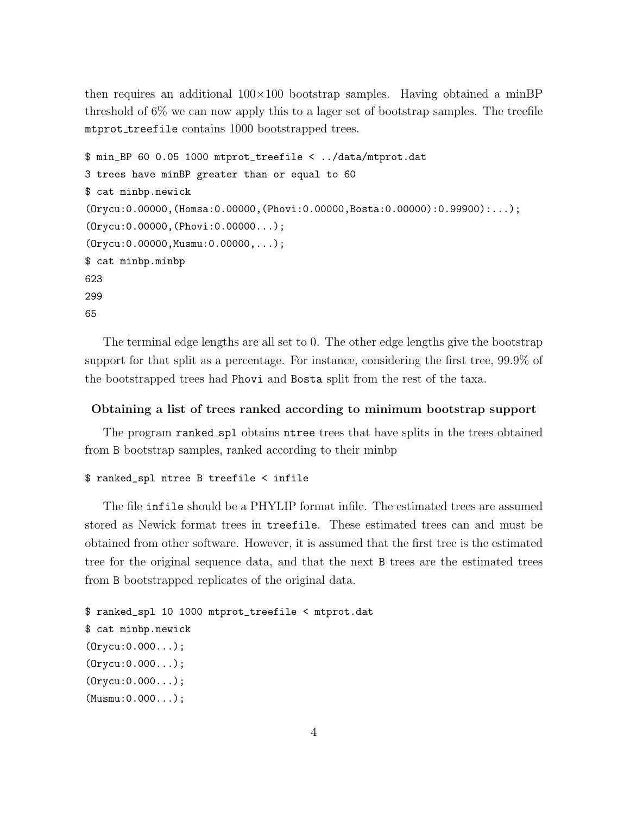then requires an additional  $100\times100$  bootstrap samples. Having obtained a minBP threshold of  $6\%$  we can now apply this to a lager set of bootstrap samples. The treefile mtprot treefile contains 1000 bootstrapped trees.

```
$ min_BP 60 0.05 1000 mtprot_treefile < ../data/mtprot.dat
3 trees have minBP greater than or equal to 60
$ cat minbp.newick
(Orycu:0.00000,(Homsa:0.00000,(Phovi:0.00000,Bosta:0.00000):0.99900):...);
(Orycu:0.00000,(Phovi:0.00000...);
(Orycu:0.00000,Musmu:0.00000,...);
$ cat minbp.minbp
623
299
65
```
The terminal edge lengths are all set to 0. The other edge lengths give the bootstrap support for that split as a percentage. For instance, considering the first tree, 99.9% of the bootstrapped trees had Phovi and Bosta split from the rest of the taxa.

# Obtaining a list of trees ranked according to minimum bootstrap support

The program ranked spl obtains ntree trees that have splits in the trees obtained from B bootstrap samples, ranked according to their minbp

#### \$ ranked\_spl ntree B treefile < infile

The file infile should be a PHYLIP format infile. The estimated trees are assumed stored as Newick format trees in treefile. These estimated trees can and must be obtained from other software. However, it is assumed that the first tree is the estimated tree for the original sequence data, and that the next B trees are the estimated trees from B bootstrapped replicates of the original data.

```
$ ranked_spl 10 1000 mtprot_treefile < mtprot.dat
$ cat minbp.newick
(Orycu:0.000...);
(Orycu:0.000...);
(Orycu:0.000...);
(Musmu:0.000...);
```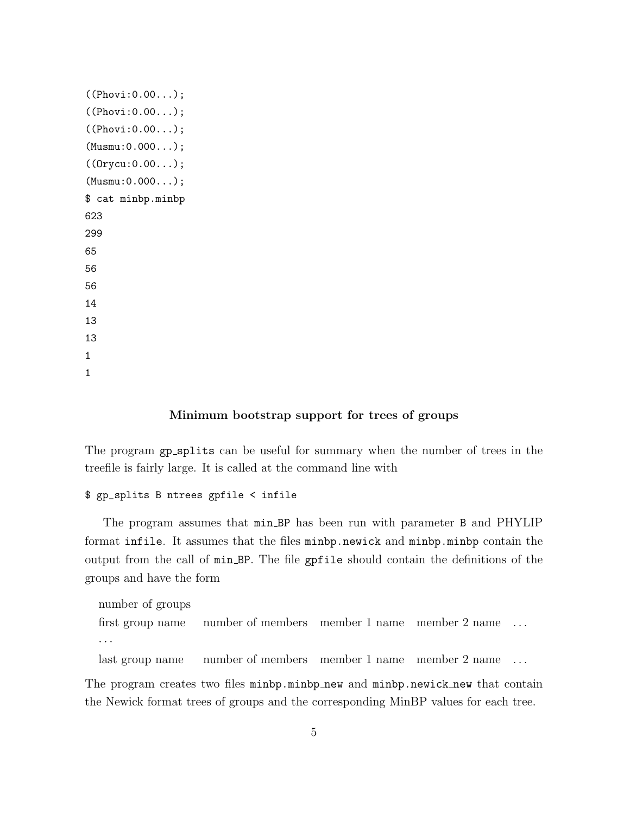```
((Phovi:0.00...);
((Phovi:0.00...);
((Phovi:0.00...);
(Musmu:0.000...);
((Orycu:0.00...);
(Musmu:0.000...);
$ cat minbp.minbp
623
299
65
56
56
14
13
13
1
1
```
#### Minimum bootstrap support for trees of groups

The program gp\_splits can be useful for summary when the number of trees in the treefile is fairly large. It is called at the command line with

# \$ gp\_splits B ntrees gpfile < infile

The program assumes that min BP has been run with parameter B and PHYLIP format infile. It assumes that the files minbp.newick and minbp.minbp contain the output from the call of min BP. The file gpfile should contain the definitions of the groups and have the form

```
number of groups
first group name number of members member 1 name member 2 name . . .
· · ·
```
last group name number of members member 1 name member 2 name ...

The program creates two files minbp.minbp\_new and minbp.newick\_new that contain the Newick format trees of groups and the corresponding MinBP values for each tree.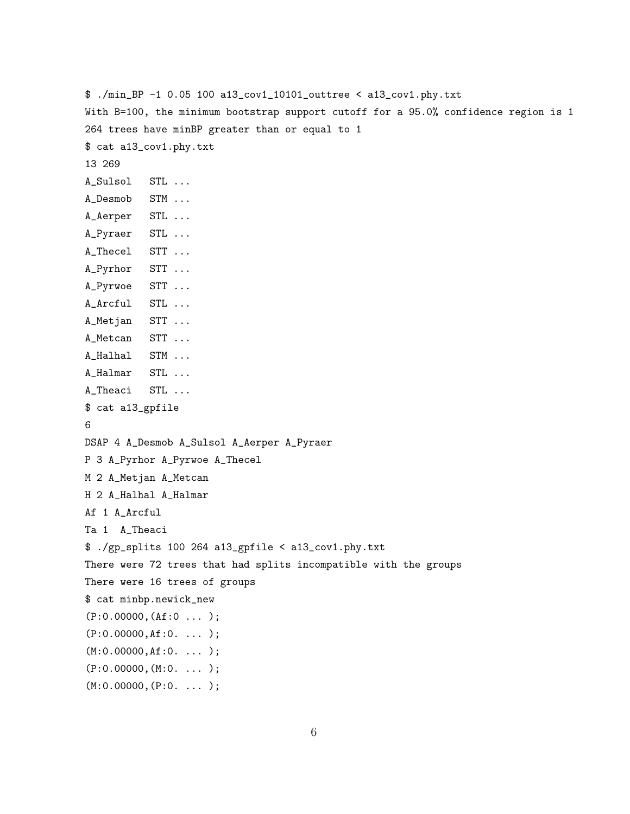\$ ./min\_BP -1 0.05 100 a13\_cov1\_10101\_outtree < a13\_cov1.phy.txt With B=100, the minimum bootstrap support cutoff for a 95.0% confidence region is 1 264 trees have minBP greater than or equal to 1 \$ cat a13\_cov1.phy.txt 13 269 A\_Sulsol STL ... A\_Desmob STM ... A\_Aerper STL ... A\_Pyraer STL ... A\_Thecel STT ... A\_Pyrhor STT ... A\_Pyrwoe STT ... A\_Arcful STL ... A\_Metjan STT ... A\_Metcan STT ... A\_Halhal STM ... A\_Halmar STL ... A\_Theaci STL ... \$ cat a13\_gpfile 6 DSAP 4 A\_Desmob A\_Sulsol A\_Aerper A\_Pyraer P 3 A\_Pyrhor A\_Pyrwoe A\_Thecel M 2 A\_Metjan A\_Metcan H 2 A\_Halhal A\_Halmar Af 1 A\_Arcful Ta 1 A\_Theaci \$ ./gp\_splits 100 264 a13\_gpfile < a13\_cov1.phy.txt There were 72 trees that had splits incompatible with the groups There were 16 trees of groups \$ cat minbp.newick\_new  $(P:0.00000, (Af:0 ... )$ ; (P:0.00000,Af:0. ... ); (M:0.00000,Af:0. ... );  $(P:0.00000, (M:0. ... )$ ;  $(M:0.00000, (P:0. ... )$ ;